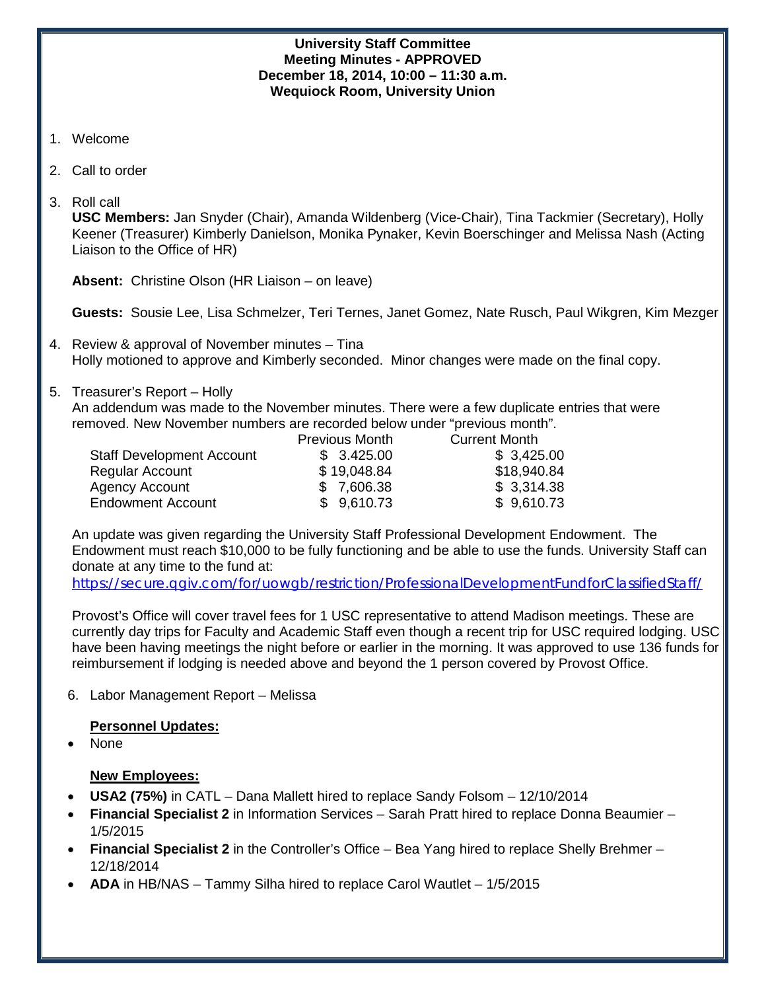## **University Staff Committee Meeting Minutes - APPROVED December 18, 2014, 10:00 – 11:30 a.m. Wequiock Room, University Union**

- 1. Welcome
- 2. Call to order
- 3. Roll call

**USC Members:** Jan Snyder (Chair), Amanda Wildenberg (Vice-Chair), Tina Tackmier (Secretary), Holly Keener (Treasurer) Kimberly Danielson, Monika Pynaker, Kevin Boerschinger and Melissa Nash (Acting Liaison to the Office of HR)

**Absent:** Christine Olson (HR Liaison – on leave)

**Guests:** Sousie Lee, Lisa Schmelzer, Teri Ternes, Janet Gomez, Nate Rusch, Paul Wikgren, Kim Mezger

- 4. Review & approval of November minutes Tina Holly motioned to approve and Kimberly seconded. Minor changes were made on the final copy.
- 5. Treasurer's Report Holly

An addendum was made to the November minutes. There were a few duplicate entries that were removed. New November numbers are recorded below under "previous month".

|                                  | Previous Month | <b>Current Month</b> |
|----------------------------------|----------------|----------------------|
| <b>Staff Development Account</b> | \$3.425.00     | \$3,425.00           |
| <b>Regular Account</b>           | \$19,048.84    | \$18,940.84          |
| <b>Agency Account</b>            | \$7,606.38     | \$3,314.38           |
| <b>Endowment Account</b>         | \$9,610.73     | \$9,610.73           |

An update was given regarding the University Staff Professional Development Endowment. The Endowment must reach \$10,000 to be fully functioning and be able to use the funds. University Staff can donate at any time to the fund at:

<https://secure.qgiv.com/for/uowgb/restriction/ProfessionalDevelopmentFundforClassifiedStaff/>

Provost's Office will cover travel fees for 1 USC representative to attend Madison meetings. These are currently day trips for Faculty and Academic Staff even though a recent trip for USC required lodging. USC have been having meetings the night before or earlier in the morning. It was approved to use 136 funds for reimbursement if lodging is needed above and beyond the 1 person covered by Provost Office.

6. Labor Management Report – Melissa

# **Personnel Updates:**

• None

# **New Employees:**

- **USA2 (75%)** in CATL Dana Mallett hired to replace Sandy Folsom 12/10/2014
- **Financial Specialist 2** in Information Services Sarah Pratt hired to replace Donna Beaumier 1/5/2015
- **Financial Specialist 2** in the Controller's Office Bea Yang hired to replace Shelly Brehmer 12/18/2014
- **ADA** in HB/NAS Tammy Silha hired to replace Carol Wautlet 1/5/2015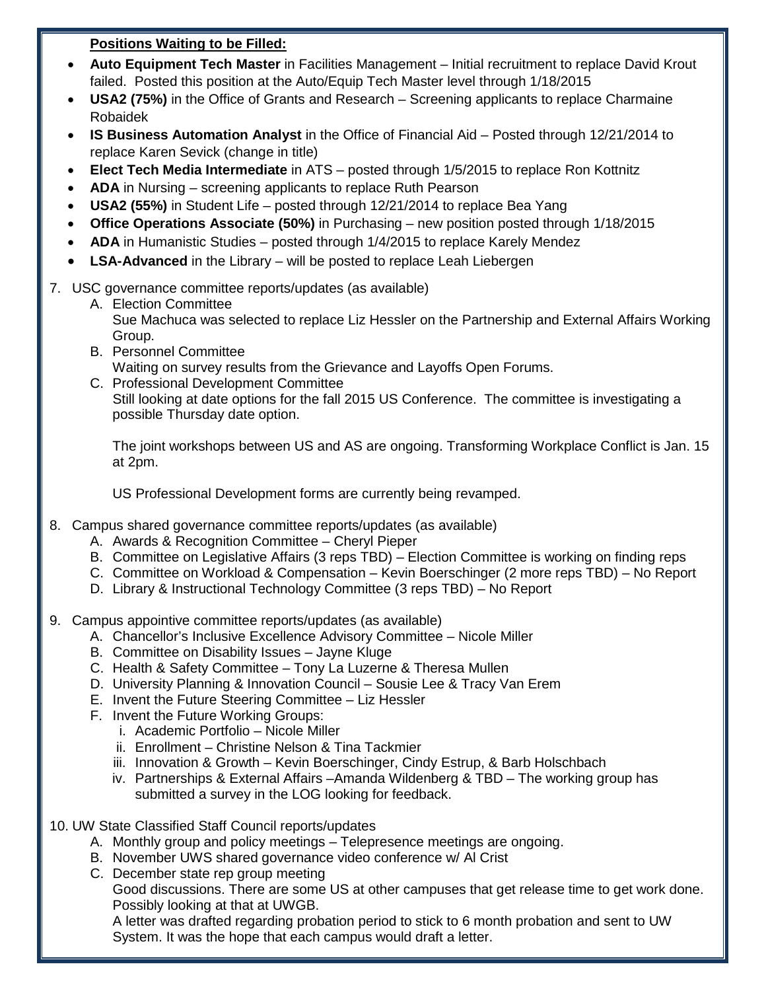# **Positions Waiting to be Filled:**

- **Auto Equipment Tech Master** in Facilities Management Initial recruitment to replace David Krout failed. Posted this position at the Auto/Equip Tech Master level through 1/18/2015
- **USA2 (75%)** in the Office of Grants and Research Screening applicants to replace Charmaine Robaidek
- **IS Business Automation Analyst** in the Office of Financial Aid Posted through 12/21/2014 to replace Karen Sevick (change in title)
- **Elect Tech Media Intermediate** in ATS posted through 1/5/2015 to replace Ron Kottnitz
- **ADA** in Nursing screening applicants to replace Ruth Pearson
- **USA2 (55%)** in Student Life posted through 12/21/2014 to replace Bea Yang
- **Office Operations Associate (50%)** in Purchasing new position posted through 1/18/2015
- **ADA** in Humanistic Studies posted through 1/4/2015 to replace Karely Mendez
- **LSA-Advanced** in the Library will be posted to replace Leah Liebergen
- 7. USC governance committee reports/updates (as available)
	- A. Election Committee Sue Machuca was selected to replace Liz Hessler on the Partnership and External Affairs Working Group.
	- B. Personnel Committee Waiting on survey results from the Grievance and Layoffs Open Forums.
	- C. Professional Development Committee Still looking at date options for the fall 2015 US Conference. The committee is investigating a possible Thursday date option.

The joint workshops between US and AS are ongoing. Transforming Workplace Conflict is Jan. 15 at 2pm.

US Professional Development forms are currently being revamped.

- 8. Campus shared governance committee reports/updates (as available)
	- A. Awards & Recognition Committee Cheryl Pieper
	- B. Committee on Legislative Affairs (3 reps TBD) Election Committee is working on finding reps
	- C. Committee on Workload & Compensation Kevin Boerschinger (2 more reps TBD) No Report
	- D. Library & Instructional Technology Committee (3 reps TBD) No Report
- 9. Campus appointive committee reports/updates (as available)
	- A. Chancellor's Inclusive Excellence Advisory Committee Nicole Miller
	- B. Committee on Disability Issues Jayne Kluge
	- C. Health & Safety Committee Tony La Luzerne & Theresa Mullen
	- D. University Planning & Innovation Council Sousie Lee & Tracy Van Erem
	- E. Invent the Future Steering Committee Liz Hessler
	- F. Invent the Future Working Groups:
		- i. Academic Portfolio Nicole Miller
		- ii. Enrollment Christine Nelson & Tina Tackmier
		- iii. Innovation & Growth Kevin Boerschinger, Cindy Estrup, & Barb Holschbach
		- iv. Partnerships & External Affairs –Amanda Wildenberg & TBD The working group has submitted a survey in the LOG looking for feedback.
- 10. UW State Classified Staff Council reports/updates
	- A. Monthly group and policy meetings Telepresence meetings are ongoing.
	- B. November UWS shared governance video conference w/ Al Crist
	- C. December state rep group meeting

Good discussions. There are some US at other campuses that get release time to get work done. Possibly looking at that at UWGB.

A letter was drafted regarding probation period to stick to 6 month probation and sent to UW System. It was the hope that each campus would draft a letter.